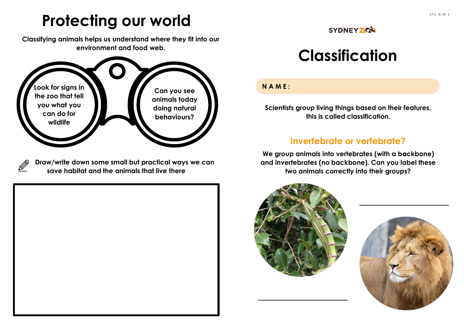# **Protecting our world**

**Classifying animals helps us understand where they fit into our environment and food web.**



**Draw/write down some small but practical ways we can save habitat and the animals that live there**

#### **SYDNEY ZOA**

## **Classification**

#### **NAME:**

**Scientists group living things based on their features, this is called classification.** 

### **Invertebrate or vertebrate?**

**We group animals into vertebrates (with a backbone) and invertebrates (no backbone). Can you label these two animals correctly into their groups?**